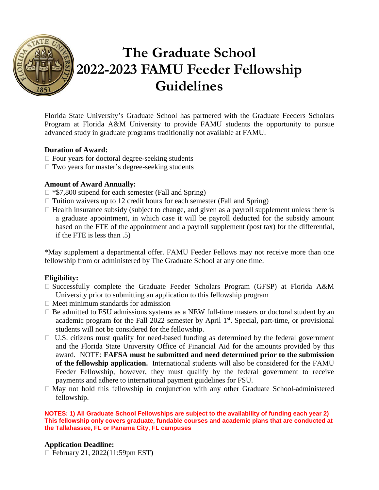

# **The Graduate School 2022-2023 FAMU Feeder Fellowship Guidelines**

Florida State University's Graduate School has partnered with the Graduate Feeders Scholars Program at Florida A&M University to provide FAMU students the opportunity to pursue advanced study in graduate programs traditionally not available at FAMU.

## **Duration of Award:**

- $\Box$  Four years for doctoral degree-seeking students
- $\Box$  Two years for master's degree-seeking students

## **Amount of Award Annually:**

- $\Box$  \*\$7,800 stipend for each semester (Fall and Spring)
- $\Box$  Tuition waivers up to 12 credit hours for each semester (Fall and Spring)
- $\Box$  Health insurance subsidy (subject to change, and given as a payroll supplement unless there is a graduate appointment, in which case it will be payroll deducted for the subsidy amount based on the FTE of the appointment and a payroll supplement (post tax) for the differential, if the FTE is less than .5)

\*May supplement a departmental offer. FAMU Feeder Fellows may not receive more than one fellowship from or administered by The Graduate School at any one time.

# **Eligibility:**

- $\square$  Successfully complete the Graduate Feeder Scholars Program (GFSP) at Florida A&M University prior to submitting an application to this fellowship program
- $\Box$  Meet minimum standards for admission
- $\Box$  Be admitted to FSU admissions systems as a NEW full-time masters or doctoral student by an academic program for the Fall 2022 semester by April 1<sup>st</sup>. Special, part-time, or provisional students will not be considered for the fellowship.
- $\Box$  U.S. citizens must qualify for need-based funding as determined by the federal government and the Florida State University Office of Financial Aid for the amounts provided by this award. NOTE: **FAFSA must be submitted and need determined prior to the submission of the fellowship application.** International students will also be considered for the FAMU Feeder Fellowship, however, they must qualify by the federal government to receive payments and adhere to international payment guidelines for FSU.
- $\Box$  May not hold this fellowship in conjunction with any other Graduate School-administered fellowship.

**NOTES: 1) All Graduate School Fellowships are subject to the availability of funding each year 2) This fellowship only covers graduate, fundable courses and academic plans that are conducted at the Tallahassee, FL or Panama City, FL campuses**

#### **Application Deadline:**

February 21, 2022(11:59pm EST)